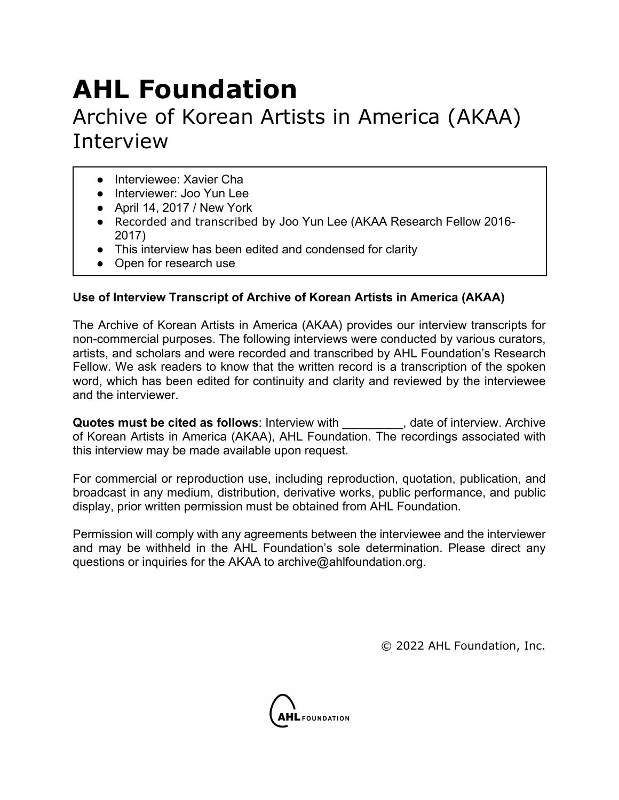## **AHL Foundation**

## Archive of Korean Artists in America (AKAA) Interview

- **•** Interviewee: Xavier Cha
- Interviewer: Joo Yun Lee
- April 14, 2017 / New York
- Recorded and transcribed by Joo Yun Lee (AKAA Research Fellow 2016- 2017)
- This interview has been edited and condensed for clarity
- Open for research use

## **Use of Interview Transcript of Archive of Korean Artists in America (AKAA)**

The Archive of Korean Artists in America (AKAA) provides our interview transcripts for non-commercial purposes. The following interviews were conducted by various curators, artists, and scholars and were recorded and transcribed by AHL Foundation's Research Fellow. We ask readers to know that the written record is a transcription of the spoken word, which has been edited for continuity and clarity and reviewed by the interviewee and the interviewer.

**Quotes must be cited as follows:** Interview with **Quotes must be cited as follows:** Interview with  $\blacksquare$ , date of interview. Archive of Korean Artists in America (AKAA), AHL Foundation. The recordings associated with this interview may be made available upon request.

For commercial or reproduction use, including reproduction, quotation, publication, and broadcast in any medium, distribution, derivative works, public performance, and public display, prior written permission must be obtained from AHL Foundation.

Permission will comply with any agreements between the interviewee and the interviewer and may be withheld in the AHL Foundation's sole determination. Please direct any questions or inquiries for the AKAA to archive@ahlfoundation.org.

© 2022 AHL Foundation, Inc.

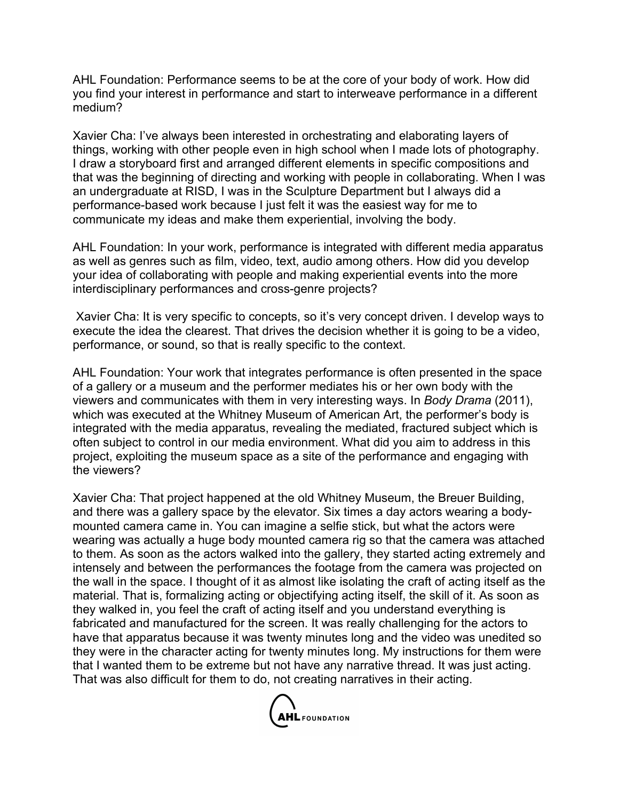AHL Foundation: Performance seems to be at the core of your body of work. How did you find your interest in performance and start to interweave performance in a different medium?

Xavier Cha: I've always been interested in orchestrating and elaborating layers of things, working with other people even in high school when I made lots of photography. I draw a storyboard first and arranged different elements in specific compositions and that was the beginning of directing and working with people in collaborating. When I was an undergraduate at RISD, I was in the Sculpture Department but I always did a performance-based work because I just felt it was the easiest way for me to communicate my ideas and make them experiential, involving the body.

AHL Foundation: In your work, performance is integrated with different media apparatus as well as genres such as film, video, text, audio among others. How did you develop your idea of collaborating with people and making experiential events into the more interdisciplinary performances and cross-genre projects?

Xavier Cha: It is very specific to concepts, so it's very concept driven. I develop ways to execute the idea the clearest. That drives the decision whether it is going to be a video, performance, or sound, so that is really specific to the context.

AHL Foundation: Your work that integrates performance is often presented in the space of a gallery or a museum and the performer mediates his or her own body with the viewers and communicates with them in very interesting ways. In *Body Drama* (2011), which was executed at the Whitney Museum of American Art, the performer's body is integrated with the media apparatus, revealing the mediated, fractured subject which is often subject to control in our media environment. What did you aim to address in this project, exploiting the museum space as a site of the performance and engaging with the viewers?

Xavier Cha: That project happened at the old Whitney Museum, the Breuer Building, and there was a gallery space by the elevator. Six times a day actors wearing a bodymounted camera came in. You can imagine a selfie stick, but what the actors were wearing was actually a huge body mounted camera rig so that the camera was attached to them. As soon as the actors walked into the gallery, they started acting extremely and intensely and between the performances the footage from the camera was projected on the wall in the space. I thought of it as almost like isolating the craft of acting itself as the material. That is, formalizing acting or objectifying acting itself, the skill of it. As soon as they walked in, you feel the craft of acting itself and you understand everything is fabricated and manufactured for the screen. It was really challenging for the actors to have that apparatus because it was twenty minutes long and the video was unedited so they were in the character acting for twenty minutes long. My instructions for them were that I wanted them to be extreme but not have any narrative thread. It was just acting. That was also difficult for them to do, not creating narratives in their acting.

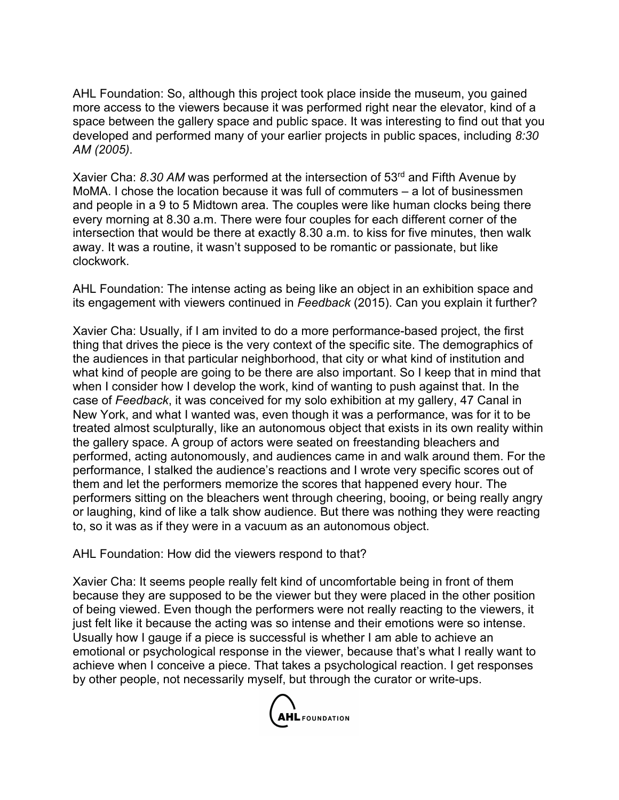AHL Foundation: So, although this project took place inside the museum, you gained more access to the viewers because it was performed right near the elevator, kind of a space between the gallery space and public space. It was interesting to find out that you developed and performed many of your earlier projects in public spaces, including *8:30 AM (2005)*.

Xavier Cha: 8.30 AM was performed at the intersection of 53<sup>rd</sup> and Fifth Avenue by MoMA. I chose the location because it was full of commuters – a lot of businessmen and people in a 9 to 5 Midtown area. The couples were like human clocks being there every morning at 8.30 a.m. There were four couples for each different corner of the intersection that would be there at exactly 8.30 a.m. to kiss for five minutes, then walk away. It was a routine, it wasn't supposed to be romantic or passionate, but like clockwork.

AHL Foundation: The intense acting as being like an object in an exhibition space and its engagement with viewers continued in *Feedback* (2015). Can you explain it further?

Xavier Cha: Usually, if I am invited to do a more performance-based project, the first thing that drives the piece is the very context of the specific site. The demographics of the audiences in that particular neighborhood, that city or what kind of institution and what kind of people are going to be there are also important. So I keep that in mind that when I consider how I develop the work, kind of wanting to push against that. In the case of *Feedback*, it was conceived for my solo exhibition at my gallery, 47 Canal in New York, and what I wanted was, even though it was a performance, was for it to be treated almost sculpturally, like an autonomous object that exists in its own reality within the gallery space. A group of actors were seated on freestanding bleachers and performed, acting autonomously, and audiences came in and walk around them. For the performance, I stalked the audience's reactions and I wrote very specific scores out of them and let the performers memorize the scores that happened every hour. The performers sitting on the bleachers went through cheering, booing, or being really angry or laughing, kind of like a talk show audience. But there was nothing they were reacting to, so it was as if they were in a vacuum as an autonomous object.

AHL Foundation: How did the viewers respond to that?

Xavier Cha: It seems people really felt kind of uncomfortable being in front of them because they are supposed to be the viewer but they were placed in the other position of being viewed. Even though the performers were not really reacting to the viewers, it just felt like it because the acting was so intense and their emotions were so intense. Usually how I gauge if a piece is successful is whether I am able to achieve an emotional or psychological response in the viewer, because that's what I really want to achieve when I conceive a piece. That takes a psychological reaction. I get responses by other people, not necessarily myself, but through the curator or write-ups.

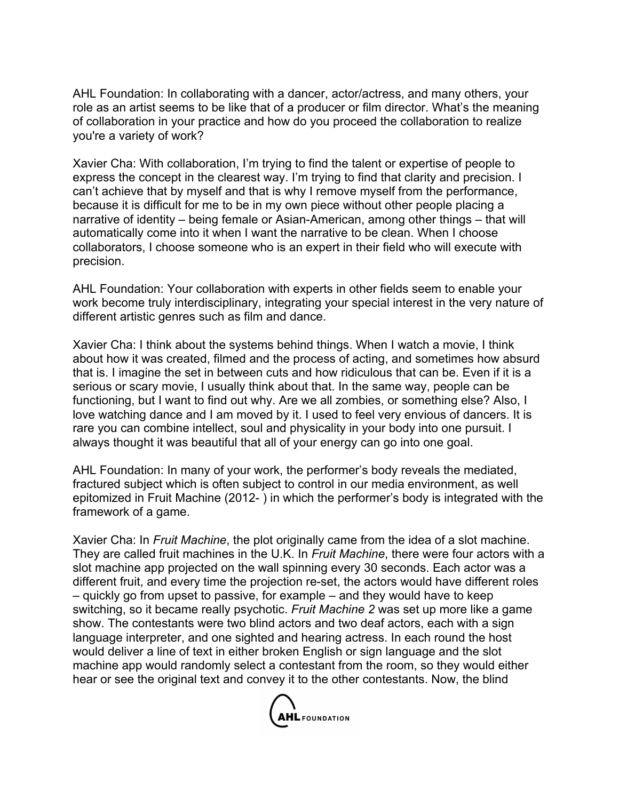AHL Foundation: In collaborating with a dancer, actor/actress, and many others, your role as an artist seems to be like that of a producer or film director. What's the meaning of collaboration in your practice and how do you proceed the collaboration to realize you're a variety of work?

Xavier Cha: With collaboration, I'm trying to find the talent or expertise of people to express the concept in the clearest way. I'm trying to find that clarity and precision. I can't achieve that by myself and that is why I remove myself from the performance, because it is difficult for me to be in my own piece without other people placing a narrative of identity – being female or Asian-American, among other things – that will automatically come into it when I want the narrative to be clean. When I choose collaborators, I choose someone who is an expert in their field who will execute with precision.

AHL Foundation: Your collaboration with experts in other fields seem to enable your work become truly interdisciplinary, integrating your special interest in the very nature of different artistic genres such as film and dance.

Xavier Cha: I think about the systems behind things. When I watch a movie, I think about how it was created, filmed and the process of acting, and sometimes how absurd that is. I imagine the set in between cuts and how ridiculous that can be. Even if it is a serious or scary movie, I usually think about that. In the same way, people can be functioning, but I want to find out why. Are we all zombies, or something else? Also, I love watching dance and I am moved by it. I used to feel very envious of dancers. It is rare you can combine intellect, soul and physicality in your body into one pursuit. I always thought it was beautiful that all of your energy can go into one goal.

AHL Foundation: In many of your work, the performer's body reveals the mediated, fractured subject which is often subject to control in our media environment, as well epitomized in Fruit Machine (2012- ) in which the performer's body is integrated with the framework of a game.

Xavier Cha: In *Fruit Machine*, the plot originally came from the idea of a slot machine. They are called fruit machines in the U.K. In *Fruit Machine*, there were four actors with a slot machine app projected on the wall spinning every 30 seconds. Each actor was a different fruit, and every time the projection re-set, the actors would have different roles – quickly go from upset to passive, for example – and they would have to keep switching, so it became really psychotic. *Fruit Machine 2* was set up more like a game show. The contestants were two blind actors and two deaf actors, each with a sign language interpreter, and one sighted and hearing actress. In each round the host would deliver a line of text in either broken English or sign language and the slot machine app would randomly select a contestant from the room, so they would either hear or see the original text and convey it to the other contestants. Now, the blind

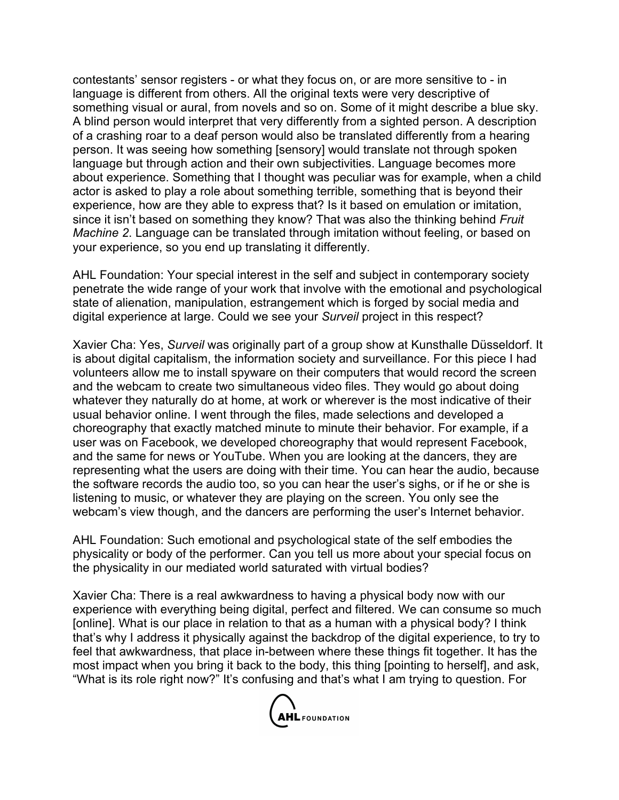contestants' sensor registers - or what they focus on, or are more sensitive to - in language is different from others. All the original texts were very descriptive of something visual or aural, from novels and so on. Some of it might describe a blue sky. A blind person would interpret that very differently from a sighted person. A description of a crashing roar to a deaf person would also be translated differently from a hearing person. It was seeing how something [sensory] would translate not through spoken language but through action and their own subjectivities. Language becomes more about experience. Something that I thought was peculiar was for example, when a child actor is asked to play a role about something terrible, something that is beyond their experience, how are they able to express that? Is it based on emulation or imitation, since it isn't based on something they know? That was also the thinking behind *Fruit Machine 2*. Language can be translated through imitation without feeling, or based on your experience, so you end up translating it differently.

AHL Foundation: Your special interest in the self and subject in contemporary society penetrate the wide range of your work that involve with the emotional and psychological state of alienation, manipulation, estrangement which is forged by social media and digital experience at large. Could we see your *Surveil* project in this respect?

Xavier Cha: Yes, *Surveil* was originally part of a group show at Kunsthalle Düsseldorf. It is about digital capitalism, the information society and surveillance. For this piece I had volunteers allow me to install spyware on their computers that would record the screen and the webcam to create two simultaneous video files. They would go about doing whatever they naturally do at home, at work or wherever is the most indicative of their usual behavior online. I went through the files, made selections and developed a choreography that exactly matched minute to minute their behavior. For example, if a user was on Facebook, we developed choreography that would represent Facebook, and the same for news or YouTube. When you are looking at the dancers, they are representing what the users are doing with their time. You can hear the audio, because the software records the audio too, so you can hear the user's sighs, or if he or she is listening to music, or whatever they are playing on the screen. You only see the webcam's view though, and the dancers are performing the user's Internet behavior.

AHL Foundation: Such emotional and psychological state of the self embodies the physicality or body of the performer. Can you tell us more about your special focus on the physicality in our mediated world saturated with virtual bodies?

Xavier Cha: There is a real awkwardness to having a physical body now with our experience with everything being digital, perfect and filtered. We can consume so much [online]. What is our place in relation to that as a human with a physical body? I think that's why I address it physically against the backdrop of the digital experience, to try to feel that awkwardness, that place in-between where these things fit together. It has the most impact when you bring it back to the body, this thing [pointing to herself], and ask, "What is its role right now?" It's confusing and that's what I am trying to question. For

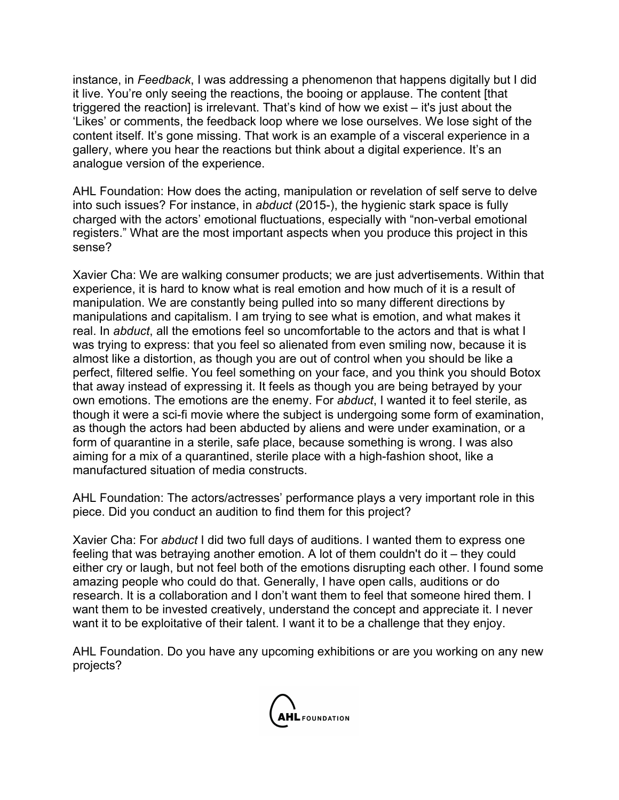instance, in *Feedback*, I was addressing a phenomenon that happens digitally but I did it live. You're only seeing the reactions, the booing or applause. The content [that triggered the reaction] is irrelevant. That's kind of how we exist – it's just about the 'Likes' or comments, the feedback loop where we lose ourselves. We lose sight of the content itself. It's gone missing. That work is an example of a visceral experience in a gallery, where you hear the reactions but think about a digital experience. It's an analogue version of the experience.

AHL Foundation: How does the acting, manipulation or revelation of self serve to delve into such issues? For instance, in *abduct* (2015-), the hygienic stark space is fully charged with the actors' emotional fluctuations, especially with "non-verbal emotional registers." What are the most important aspects when you produce this project in this sense?

Xavier Cha: We are walking consumer products; we are just advertisements. Within that experience, it is hard to know what is real emotion and how much of it is a result of manipulation. We are constantly being pulled into so many different directions by manipulations and capitalism. I am trying to see what is emotion, and what makes it real. In *abduct*, all the emotions feel so uncomfortable to the actors and that is what I was trying to express: that you feel so alienated from even smiling now, because it is almost like a distortion, as though you are out of control when you should be like a perfect, filtered selfie. You feel something on your face, and you think you should Botox that away instead of expressing it. It feels as though you are being betrayed by your own emotions. The emotions are the enemy. For *abduct*, I wanted it to feel sterile, as though it were a sci-fi movie where the subject is undergoing some form of examination, as though the actors had been abducted by aliens and were under examination, or a form of quarantine in a sterile, safe place, because something is wrong. I was also aiming for a mix of a quarantined, sterile place with a high-fashion shoot, like a manufactured situation of media constructs.

AHL Foundation: The actors/actresses' performance plays a very important role in this piece. Did you conduct an audition to find them for this project?

Xavier Cha: For *abduct* I did two full days of auditions. I wanted them to express one feeling that was betraying another emotion. A lot of them couldn't do it – they could either cry or laugh, but not feel both of the emotions disrupting each other. I found some amazing people who could do that. Generally, I have open calls, auditions or do research. It is a collaboration and I don't want them to feel that someone hired them. I want them to be invested creatively, understand the concept and appreciate it. I never want it to be exploitative of their talent. I want it to be a challenge that they enjoy.

AHL Foundation. Do you have any upcoming exhibitions or are you working on any new projects?